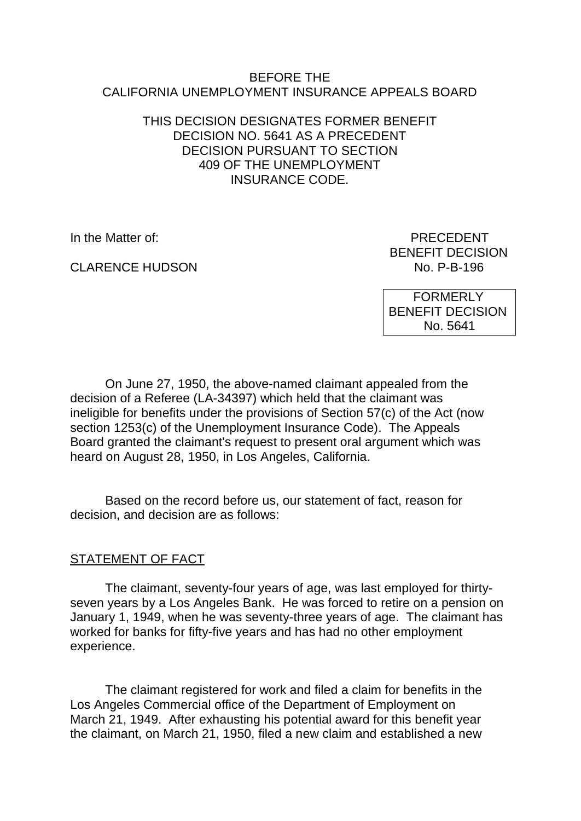### BEFORE THE CALIFORNIA UNEMPLOYMENT INSURANCE APPEALS BOARD

# THIS DECISION DESIGNATES FORMER BENEFIT DECISION NO. 5641 AS A PRECEDENT DECISION PURSUANT TO SECTION 409 OF THE UNEMPLOYMENT INSURANCE CODE.

**CLARENCE HUDSON** 

In the Matter of: PRECEDENT BENEFIT DECISION<br>No. P-B-196

> FORMERLY BENEFIT DECISION No. 5641

On June 27, 1950, the above-named claimant appealed from the decision of a Referee (LA-34397) which held that the claimant was ineligible for benefits under the provisions of Section 57(c) of the Act (now section 1253(c) of the Unemployment Insurance Code). The Appeals Board granted the claimant's request to present oral argument which was heard on August 28, 1950, in Los Angeles, California.

Based on the record before us, our statement of fact, reason for decision, and decision are as follows:

# STATEMENT OF FACT

The claimant, seventy-four years of age, was last employed for thirtyseven years by a Los Angeles Bank. He was forced to retire on a pension on January 1, 1949, when he was seventy-three years of age. The claimant has worked for banks for fifty-five years and has had no other employment experience.

The claimant registered for work and filed a claim for benefits in the Los Angeles Commercial office of the Department of Employment on March 21, 1949. After exhausting his potential award for this benefit year the claimant, on March 21, 1950, filed a new claim and established a new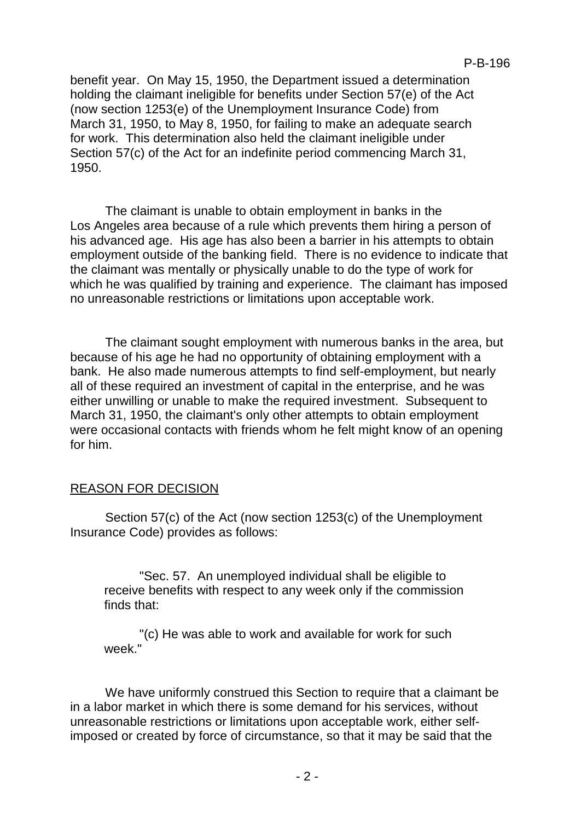benefit year. On May 15, 1950, the Department issued a determination holding the claimant ineligible for benefits under Section 57(e) of the Act (now section 1253(e) of the Unemployment Insurance Code) from March 31, 1950, to May 8, 1950, for failing to make an adequate search for work. This determination also held the claimant ineligible under Section 57(c) of the Act for an indefinite period commencing March 31, 1950.

The claimant is unable to obtain employment in banks in the Los Angeles area because of a rule which prevents them hiring a person of his advanced age. His age has also been a barrier in his attempts to obtain employment outside of the banking field. There is no evidence to indicate that the claimant was mentally or physically unable to do the type of work for which he was qualified by training and experience. The claimant has imposed no unreasonable restrictions or limitations upon acceptable work.

The claimant sought employment with numerous banks in the area, but because of his age he had no opportunity of obtaining employment with a bank. He also made numerous attempts to find self-employment, but nearly all of these required an investment of capital in the enterprise, and he was either unwilling or unable to make the required investment. Subsequent to March 31, 1950, the claimant's only other attempts to obtain employment were occasional contacts with friends whom he felt might know of an opening for him.

# REASON FOR DECISION

Section 57(c) of the Act (now section 1253(c) of the Unemployment Insurance Code) provides as follows:

"Sec. 57. An unemployed individual shall be eligible to receive benefits with respect to any week only if the commission finds that:

"(c) He was able to work and available for work for such week."

We have uniformly construed this Section to require that a claimant be in a labor market in which there is some demand for his services, without unreasonable restrictions or limitations upon acceptable work, either selfimposed or created by force of circumstance, so that it may be said that the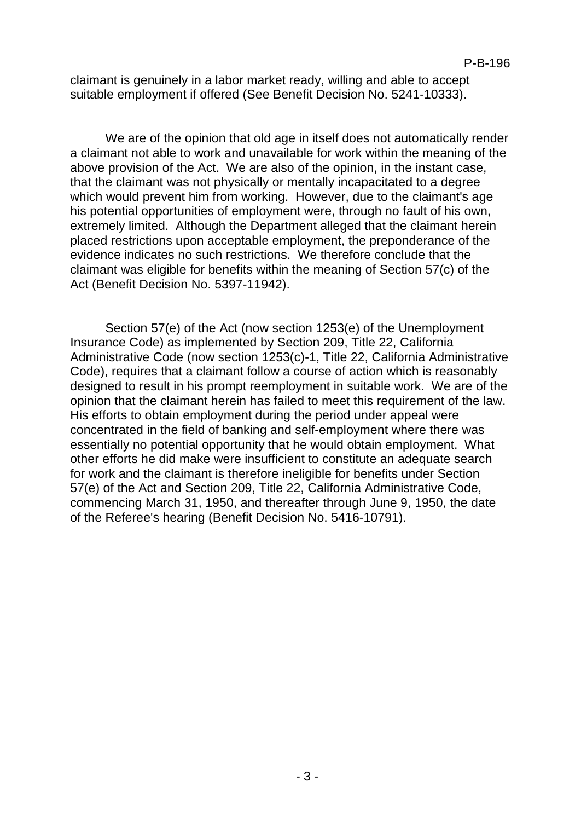claimant is genuinely in a labor market ready, willing and able to accept suitable employment if offered (See Benefit Decision No. 5241-10333).

We are of the opinion that old age in itself does not automatically render a claimant not able to work and unavailable for work within the meaning of the above provision of the Act. We are also of the opinion, in the instant case, that the claimant was not physically or mentally incapacitated to a degree which would prevent him from working. However, due to the claimant's age his potential opportunities of employment were, through no fault of his own, extremely limited. Although the Department alleged that the claimant herein placed restrictions upon acceptable employment, the preponderance of the evidence indicates no such restrictions. We therefore conclude that the claimant was eligible for benefits within the meaning of Section 57(c) of the Act (Benefit Decision No. 5397-11942).

Section 57(e) of the Act (now section 1253(e) of the Unemployment Insurance Code) as implemented by Section 209, Title 22, California Administrative Code (now section 1253(c)-1, Title 22, California Administrative Code), requires that a claimant follow a course of action which is reasonably designed to result in his prompt reemployment in suitable work. We are of the opinion that the claimant herein has failed to meet this requirement of the law. His efforts to obtain employment during the period under appeal were concentrated in the field of banking and self-employment where there was essentially no potential opportunity that he would obtain employment. What other efforts he did make were insufficient to constitute an adequate search for work and the claimant is therefore ineligible for benefits under Section 57(e) of the Act and Section 209, Title 22, California Administrative Code, commencing March 31, 1950, and thereafter through June 9, 1950, the date of the Referee's hearing (Benefit Decision No. 5416-10791).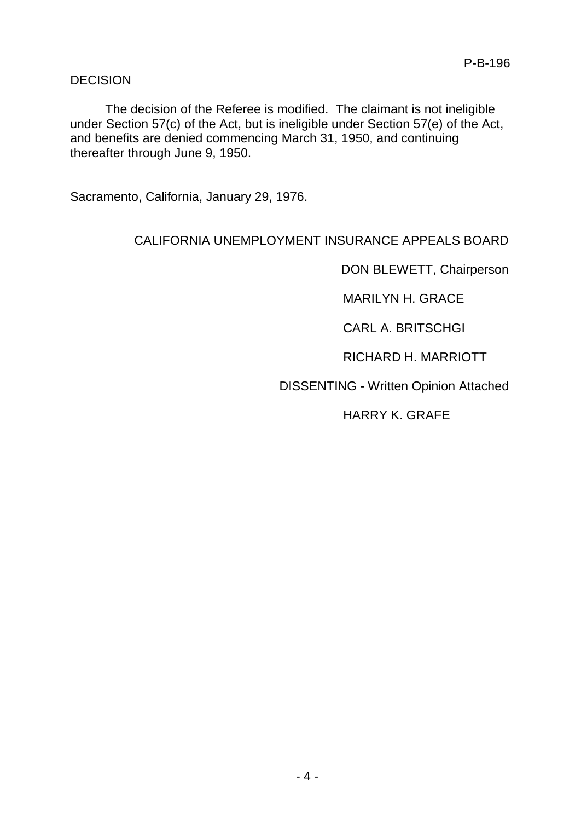# DECISION

The decision of the Referee is modified. The claimant is not ineligible under Section 57(c) of the Act, but is ineligible under Section 57(e) of the Act, and benefits are denied commencing March 31, 1950, and continuing thereafter through June 9, 1950.

Sacramento, California, January 29, 1976.

# CALIFORNIA UNEMPLOYMENT INSURANCE APPEALS BOARD

DON BLEWETT, Chairperson

MARILYN H. GRACE

CARL A. BRITSCHGI

RICHARD H. MARRIOTT

DISSENTING - Written Opinion Attached

HARRY K. GRAFE